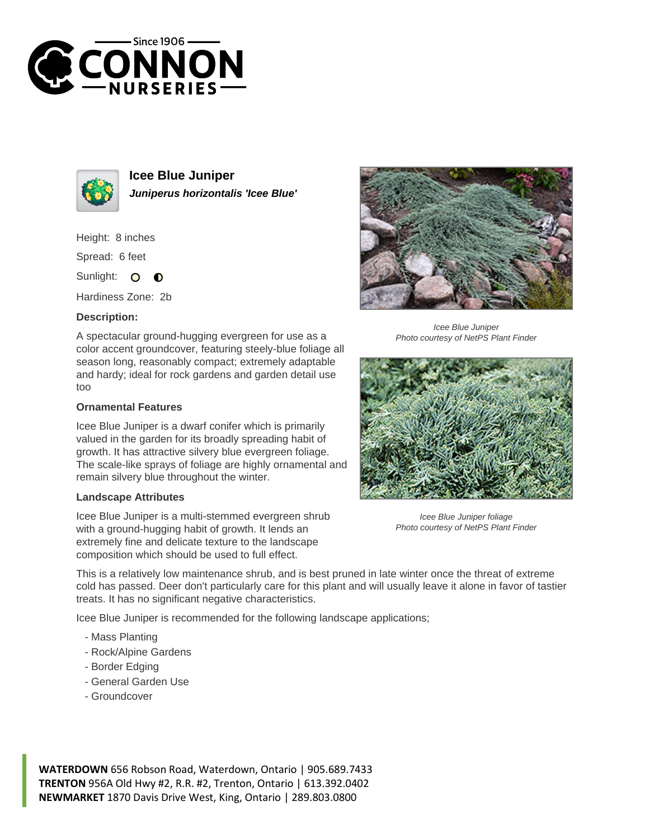



**Icee Blue Juniper Juniperus horizontalis 'Icee Blue'**

Height: 8 inches

Spread: 6 feet

Sunlight:  $\Omega$  $\bullet$ 

Hardiness Zone: 2b

## **Description:**

A spectacular ground-hugging evergreen for use as a color accent groundcover, featuring steely-blue foliage all season long, reasonably compact; extremely adaptable and hardy; ideal for rock gardens and garden detail use too

## **Ornamental Features**

Icee Blue Juniper is a dwarf conifer which is primarily valued in the garden for its broadly spreading habit of growth. It has attractive silvery blue evergreen foliage. The scale-like sprays of foliage are highly ornamental and remain silvery blue throughout the winter.

## **Landscape Attributes**

Icee Blue Juniper is a multi-stemmed evergreen shrub with a ground-hugging habit of growth. It lends an extremely fine and delicate texture to the landscape composition which should be used to full effect.



Icee Blue Juniper Photo courtesy of NetPS Plant Finder



Icee Blue Juniper foliage Photo courtesy of NetPS Plant Finder

This is a relatively low maintenance shrub, and is best pruned in late winter once the threat of extreme cold has passed. Deer don't particularly care for this plant and will usually leave it alone in favor of tastier treats. It has no significant negative characteristics.

Icee Blue Juniper is recommended for the following landscape applications;

- Mass Planting
- Rock/Alpine Gardens
- Border Edging
- General Garden Use
- Groundcover

**WATERDOWN** 656 Robson Road, Waterdown, Ontario | 905.689.7433 **TRENTON** 956A Old Hwy #2, R.R. #2, Trenton, Ontario | 613.392.0402 **NEWMARKET** 1870 Davis Drive West, King, Ontario | 289.803.0800